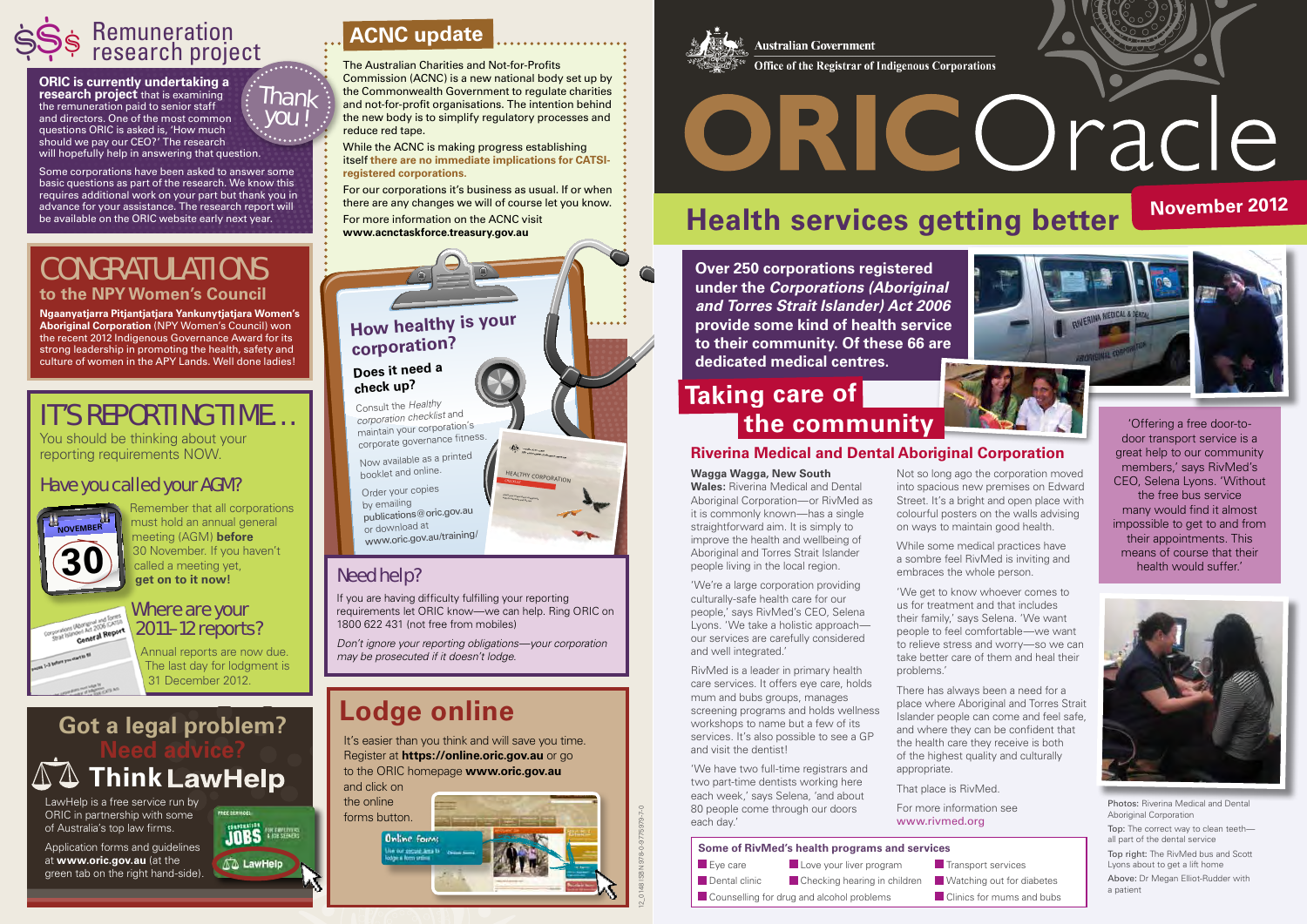## **Riverina Medical and Dental Aboriginal Corporation**

### **Wagga Wagga, New South**

**Wales:** Riverina Medical and Dental Aboriginal Corporation—or RivMed as it is commonly known—has a single straightforward aim. It is simply to improve the health and wellbeing of Aboriginal and Torres Strait Islander people living in the local region.

'We're a large corporation providing culturally-safe health care for our people,' says RivMed's CEO, Selena Lyons. 'We take a holistic approach our services are carefully considered and well integrated.'

RivMed is a leader in primary health care services. It offers eye care, holds mum and bubs groups, manages screening programs and holds wellness workshops to name but a few of its services. It's also possible to see a GP and visit the dentist!

'We have two full-time registrars and two part-time dentists working here each week,' says Selena, 'and about 80 people come through our doors each day.'

Not so long ago the corporation moved into spacious new premises on Edward Street. It's a bright and open place with colourful posters on the walls advising on ways to maintain good health.

While some medical practices have a sombre feel RivMed is inviting and embraces the whole person.

For our corporations it's business as usual. If or when there are any changes we will of course let you know. For more information on the ACNC visit there are any changes we will of course let you know.<br>For more information on the ACNC visit<br>www.acnctaskforce.treasury.gov.au exaction on the ACNC visit

> 'We get to know whoever comes to us for treatment and that includes their family,' says Selena. 'We want people to feel comfortable—we want to relieve stress and worry—so we can take better care of them and heal their problems.'

There has always been a need for a place where Aboriginal and Torres Strait Islander people can come and feel safe, and where they can be confident that the health care they receive is both of the highest quality and culturally appropriate.

That place is RivMed.

For more information see www.rivmed.org

## Congratulations **to the NPY Women's Council**

**Ngaanyatjarra Pitjantjatjara Yankunytjatjara Women's Aboriginal Corporation** (NPY Women's Council) won the recent 2012 Indigenous Governance Award for its strong leadership in promoting the health, safety and culture of women in the APY Lands. Well done ladies!

The Australian Charities and Not-for-Profits Commission (ACNC) is a new national body set up by the Commonwealth Government to regulate charities and not-for-profit organisations. The intention behind the new body is to simplify regulatory processes and reduce red tape.

While the ACNC is making progress establishing itself **there are no immediate implications for CATSIregistered corporations.**

If you are having difficulty fulfilling your reporting requirements let ORIC know—we can help. Ring ORIC on 1800 622 431 (not free from mobiles)

# **Think LawHelp Got a legal problem?**

Remember that all corporations must hold an annual general meeting (AGM) **before**  30 November. If you haven't **30** November. If you<br>called a meeting yet,<br>**get on to it now!** 







# **Remuneration**  $\frac{1}{2}$ \$ Remuneration <br> **ACNC update**<br>  $\frac{1}{2}$  Research project<br>  $\frac{1}{2}$  The Australian Charities are

**ORIC is currently undertaking a research project** that is examining the remuneration paid to senior staff and directors. One of the most common questions ORIC is asked is, 'How much should we pay our CEO?' The research will hopefully help in answering that question.

Some corporations have been asked to answer some basic questions as part of the research. We know this requires additional work on your part but thank you in advance for your assistance. The research report will be available on the ORIC website early next year.

> **Over 250 corporations registered under the** *Corporations (Aboriginal and Torres Strait Islander) Act 2006*  **provide some kind of health service to their community. Of these 66 are dedicated medical centres.**

> > Photos: Riverina Medical and Dental Aboriginal Corporation Top: The correct way to clean teeth all part of the dental service Top right: The RivMed bus and Scott Lyons about to get a lift home Above: Dr Megan Elliot-Rudder with a patient

# **Taking care of the community**



# Need help?

*Don't ignore your reporting obligations—your corporation may be prosecuted if it doesn't lodge.*

# **Lodge online**

It's easier than you think and will save you time. Register at **https://online.oric.gov.au** or go to the ORIC homepage **www.oric.gov.au** and click on

the online forms button.

**Online forms** 

**Australian Government** Office of the Registrar of Indigenous Corporations

# ORICOracle

LawHelp is a free service run by ORIC in partnership with some of Australia's top law firms.

Application forms and guidelines at **www.oric.gov.au** (at the green tab on the right hand-side).



# It's reporting time…

You should be thinking about your reporting requirements NOW.

## Have you called your AGM?



### Where are your Corporations Uponlend and Toursal<br>Corporations Uponlend and Toursal<br>General Report 2011–12 reports?

Annual reports are now due. The last day for lodgment is 31 December 2012.